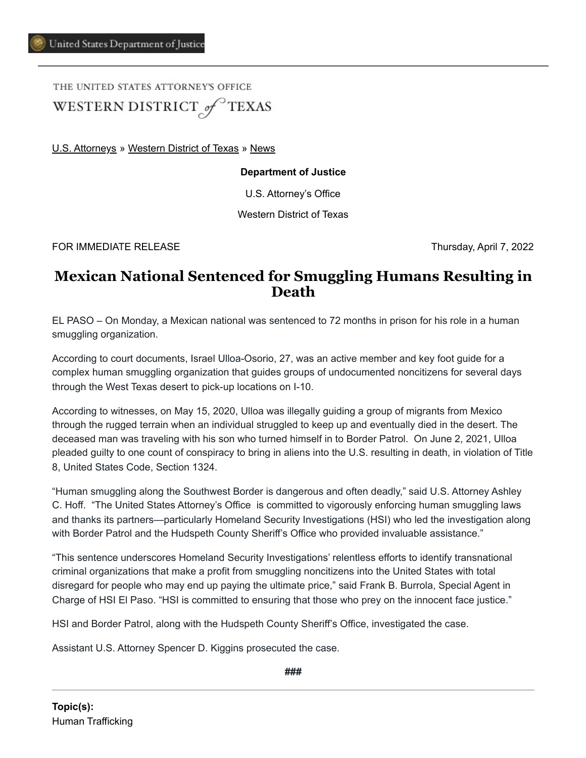THE UNITED STATES ATTORNEY'S OFFICE WESTERN DISTRICT of TEXAS

[U.S. Attorneys](https://www.justice.gov/usao) » [Western District of Texas](https://www.justice.gov/usao-wdtx) » [News](https://www.justice.gov/usao-wdtx/pr)

## **Department of Justice**

U.S. Attorney's Office

Western District of Texas

FOR IMMEDIATE RELEASE Thursday, April 7, 2022

## **Mexican National Sentenced for Smuggling Humans Resulting in Death**

EL PASO – On Monday, a Mexican national was sentenced to 72 months in prison for his role in a human smuggling organization.

According to court documents, Israel Ulloa-Osorio, 27, was an active member and key foot guide for a complex human smuggling organization that guides groups of undocumented noncitizens for several days through the West Texas desert to pick-up locations on I-10.

According to witnesses, on May 15, 2020, Ulloa was illegally guiding a group of migrants from Mexico through the rugged terrain when an individual struggled to keep up and eventually died in the desert. The deceased man was traveling with his son who turned himself in to Border Patrol. On June 2, 2021, Ulloa pleaded guilty to one count of conspiracy to bring in aliens into the U.S. resulting in death, in violation of Title 8, United States Code, Section 1324.

"Human smuggling along the Southwest Border is dangerous and often deadly," said U.S. Attorney Ashley C. Hoff. "The United States Attorney's Office is committed to vigorously enforcing human smuggling laws and thanks its partners—particularly Homeland Security Investigations (HSI) who led the investigation along with Border Patrol and the Hudspeth County Sheriff's Office who provided invaluable assistance."

"This sentence underscores Homeland Security Investigations' relentless efforts to identify transnational criminal organizations that make a profit from smuggling noncitizens into the United States with total disregard for people who may end up paying the ultimate price," said Frank B. Burrola, Special Agent in Charge of HSI El Paso. "HSI is committed to ensuring that those who prey on the innocent face justice."

HSI and Border Patrol, along with the Hudspeth County Sheriff's Office, investigated the case.

Assistant U.S. Attorney Spencer D. Kiggins prosecuted the case.

**###**